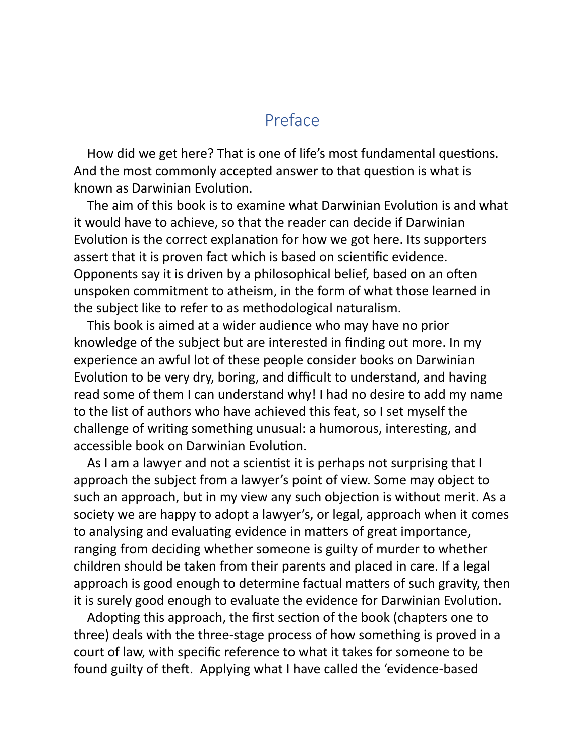## Preface

How did we get here? That is one of life's most fundamental questions. And the most commonly accepted answer to that question is what is known as Darwinian Evolution.

The aim of this book is to examine what Darwinian Evolution is and what it would have to achieve, so that the reader can decide if Darwinian Evolution is the correct explanation for how we got here. Its supporters assert that it is proven fact which is based on scienfic evidence. Opponents say it is driven by a philosophical belief, based on an often unspoken commitment to atheism, in the form of what those learned in the subject like to refer to as methodological naturalism.

This book is aimed at a wider audience who may have no prior knowledge of the subject but are interested in finding out more. In my experience an awful lot of these people consider books on Darwinian Evolution to be very dry, boring, and difficult to understand, and having read some of them I can understand why! I had no desire to add my name to the list of authors who have achieved this feat, so I set myself the challenge of writing something unusual: a humorous, interesting, and accessible book on Darwinian Evolution.

As I am a lawyer and not a scientist it is perhaps not surprising that I approach the subject from a lawyer's point of view. Some may object to such an approach, but in my view any such objection is without merit. As a society we are happy to adopt a lawyer's, or legal, approach when it comes to analysing and evaluating evidence in matters of great importance, ranging from deciding whether someone is guilty of murder to whether children should be taken from their parents and placed in care. If a legal approach is good enough to determine factual matters of such gravity, then it is surely good enough to evaluate the evidence for Darwinian Evolution.

Adopting this approach, the first section of the book (chapters one to three) deals with the three-stage process of how something is proved in a court of law, with specific reference to what it takes for someone to be found guilty of theft. Applying what I have called the 'evidence-based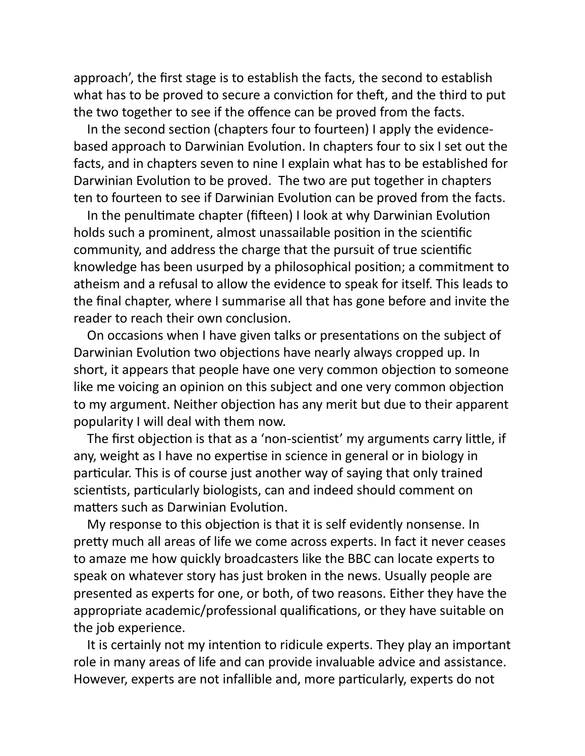approach', the first stage is to establish the facts, the second to establish what has to be proved to secure a conviction for theft, and the third to put the two together to see if the offence can be proved from the facts.

In the second section (chapters four to fourteen) I apply the evidencebased approach to Darwinian Evolution. In chapters four to six I set out the facts, and in chapters seven to nine I explain what has to be established for Darwinian Evolution to be proved. The two are put together in chapters ten to fourteen to see if Darwinian Evolution can be proved from the facts.

In the penultimate chapter (fifteen) I look at why Darwinian Evolution holds such a prominent, almost unassailable position in the scientific community, and address the charge that the pursuit of true scienfic knowledge has been usurped by a philosophical position; a commitment to atheism and a refusal to allow the evidence to speak for itself. This leads to the final chapter, where I summarise all that has gone before and invite the reader to reach their own conclusion.

On occasions when I have given talks or presentations on the subject of Darwinian Evolution two objections have nearly always cropped up. In short, it appears that people have one very common objection to someone like me voicing an opinion on this subject and one very common objection to my argument. Neither objection has any merit but due to their apparent popularity I will deal with them now.

The first objection is that as a 'non-scientist' my arguments carry little, if any, weight as I have no expertise in science in general or in biology in particular. This is of course just another way of saying that only trained scientists, particularly biologists, can and indeed should comment on matters such as Darwinian Evolution.

My response to this objection is that it is self evidently nonsense. In pretty much all areas of life we come across experts. In fact it never ceases to amaze me how quickly broadcasters like the BBC can locate experts to speak on whatever story has just broken in the news. Usually people are presented as experts for one, or both, of two reasons. Either they have the appropriate academic/professional qualifications, or they have suitable on the job experience.

It is certainly not my intention to ridicule experts. They play an important role in many areas of life and can provide invaluable advice and assistance. However, experts are not infallible and, more particularly, experts do not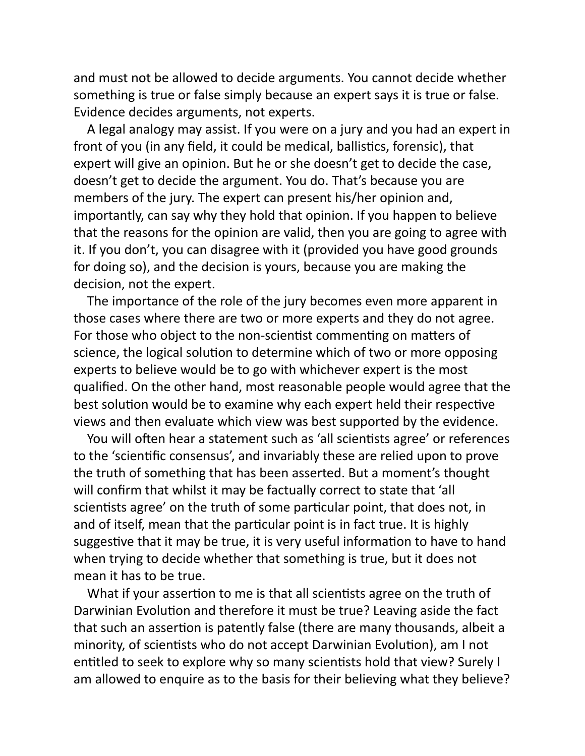and must not be allowed to decide arguments. You cannot decide whether something is true or false simply because an expert says it is true or false. Evidence decides arguments, not experts.

A legal analogy may assist. If you were on a jury and you had an expert in front of you (in any field, it could be medical, ballistics, forensic), that expert will give an opinion. But he or she doesn't get to decide the case, doesn't get to decide the argument. You do. That's because you are members of the jury. The expert can present his/her opinion and, importantly, can say why they hold that opinion. If you happen to believe that the reasons for the opinion are valid, then you are going to agree with it. If you don't, you can disagree with it (provided you have good grounds for doing so), and the decision is yours, because you are making the decision, not the expert.

The importance of the role of the jury becomes even more apparent in those cases where there are two or more experts and they do not agree. For those who object to the non-scientist commenting on matters of science, the logical solution to determine which of two or more opposing experts to believe would be to go with whichever expert is the most qualified. On the other hand, most reasonable people would agree that the best solution would be to examine why each expert held their respective views and then evaluate which view was best supported by the evidence.

You will often hear a statement such as 'all scientists agree' or references to the 'scientific consensus', and invariably these are relied upon to prove the truth of something that has been asserted. But a moment's thought will confirm that whilst it may be factually correct to state that 'all scientists agree' on the truth of some particular point, that does not, in and of itself, mean that the particular point is in fact true. It is highly suggestive that it may be true, it is very useful information to have to hand when trying to decide whether that something is true, but it does not mean it has to be true.

What if your assertion to me is that all scientists agree on the truth of Darwinian Evolution and therefore it must be true? Leaving aside the fact that such an assertion is patently false (there are many thousands, albeit a minority, of scientists who do not accept Darwinian Evolution), am I not entitled to seek to explore why so many scientists hold that view? Surely I am allowed to enquire as to the basis for their believing what they believe?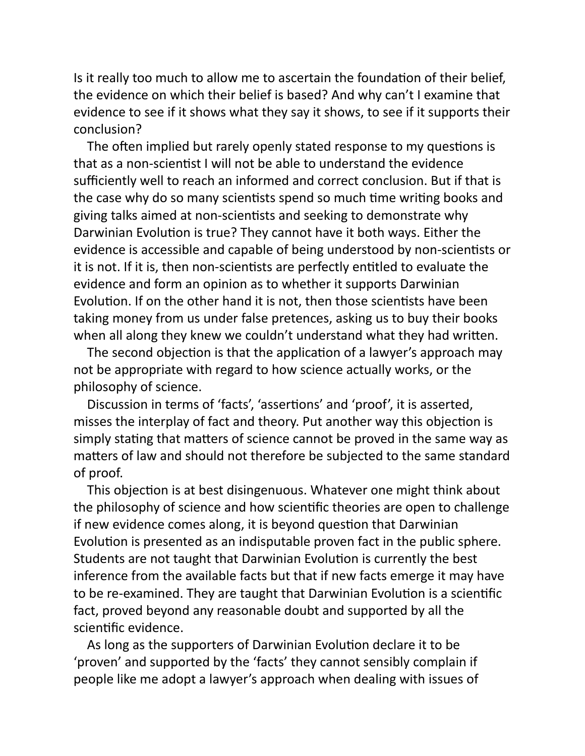Is it really too much to allow me to ascertain the foundation of their belief, the evidence on which their belief is based? And why can't I examine that evidence to see if it shows what they say it shows, to see if it supports their conclusion?

The often implied but rarely openly stated response to my questions is that as a non-scientist I will not be able to understand the evidence sufficiently well to reach an informed and correct conclusion. But if that is the case why do so many scientists spend so much time writing books and giving talks aimed at non-scientists and seeking to demonstrate why Darwinian Evolution is true? They cannot have it both ways. Either the evidence is accessible and capable of being understood by non-scientists or it is not. If it is, then non-scientists are perfectly entitled to evaluate the evidence and form an opinion as to whether it supports Darwinian Evolution. If on the other hand it is not, then those scientists have been taking money from us under false pretences, asking us to buy their books when all along they knew we couldn't understand what they had written.

The second objection is that the application of a lawyer's approach may not be appropriate with regard to how science actually works, or the philosophy of science.

Discussion in terms of 'facts', 'assertions' and 'proof', it is asserted, misses the interplay of fact and theory. Put another way this objection is simply stating that matters of science cannot be proved in the same way as matters of law and should not therefore be subjected to the same standard of proof.

This objection is at best disingenuous. Whatever one might think about the philosophy of science and how scienfic theories are open to challenge if new evidence comes along, it is beyond question that Darwinian Evolution is presented as an indisputable proven fact in the public sphere. Students are not taught that Darwinian Evolution is currently the best inference from the available facts but that if new facts emerge it may have to be re-examined. They are taught that Darwinian Evolution is a scientific fact, proved beyond any reasonable doubt and supported by all the scientific evidence.

As long as the supporters of Darwinian Evolution declare it to be 'proven' and supported by the 'facts' they cannot sensibly complain if people like me adopt a lawyer's approach when dealing with issues of